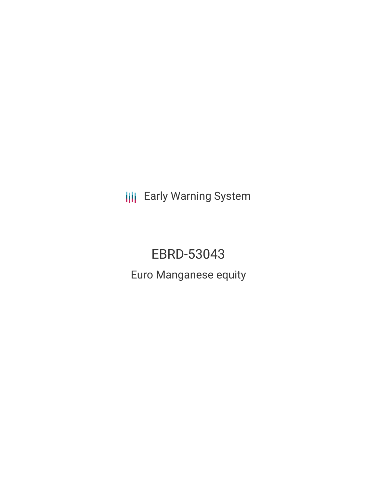**III** Early Warning System

EBRD-53043 Euro Manganese equity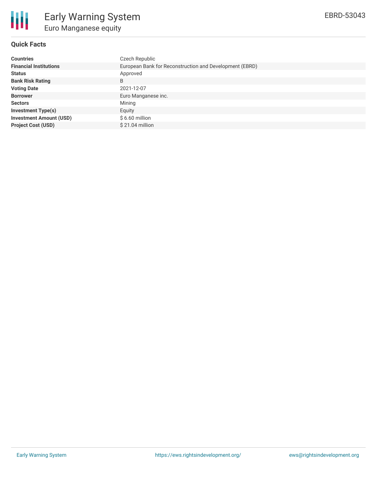

# **Quick Facts**

| <b>Countries</b>               | Czech Republic                                          |
|--------------------------------|---------------------------------------------------------|
| <b>Financial Institutions</b>  | European Bank for Reconstruction and Development (EBRD) |
| <b>Status</b>                  | Approved                                                |
| <b>Bank Risk Rating</b>        | B                                                       |
| <b>Voting Date</b>             | 2021-12-07                                              |
| <b>Borrower</b>                | Euro Manganese inc.                                     |
| <b>Sectors</b>                 | Mining                                                  |
| <b>Investment Type(s)</b>      | Equity                                                  |
| <b>Investment Amount (USD)</b> | $$6.60$ million                                         |
| <b>Project Cost (USD)</b>      | \$21.04 million                                         |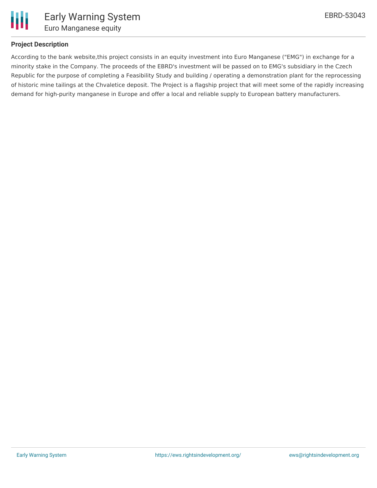

## **Project Description**

According to the bank website,this project consists in an equity investment into Euro Manganese ("EMG") in exchange for a minority stake in the Company. The proceeds of the EBRD's investment will be passed on to EMG's subsidiary in the Czech Republic for the purpose of completing a Feasibility Study and building / operating a demonstration plant for the reprocessing of historic mine tailings at the Chvaletice deposit. The Project is a flagship project that will meet some of the rapidly increasing demand for high-purity manganese in Europe and offer a local and reliable supply to European battery manufacturers.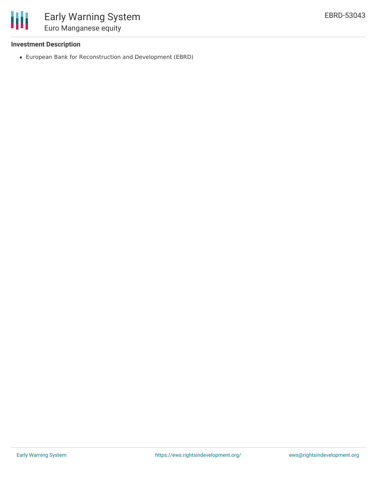

### **Investment Description**

European Bank for Reconstruction and Development (EBRD)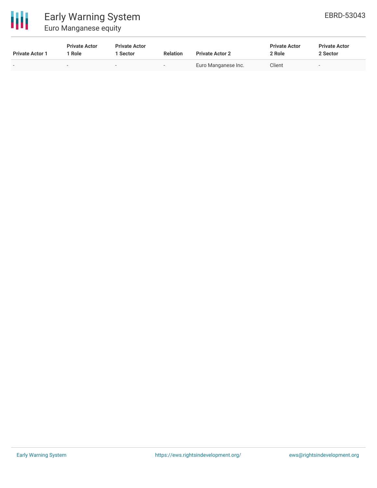

| <b>Private Actor 1</b> | <b>Private Actor</b><br>1 Role | <b>Private Actor</b><br>l Sector | <b>Relation</b>          | <b>Private Actor 2</b> | <b>Private Actor</b><br>2 Role | <b>Private Actor</b><br>2 Sector |
|------------------------|--------------------------------|----------------------------------|--------------------------|------------------------|--------------------------------|----------------------------------|
|                        |                                |                                  | $\overline{\phantom{0}}$ | Euro Manganese Inc.    | Client                         | -                                |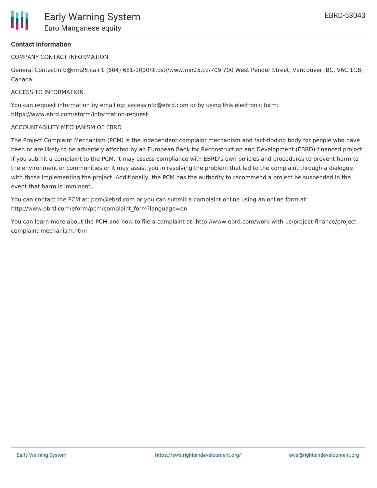

# **Contact Information**

COMPANY CONTACT INFORMATION

General Contactinfo@mn25.ca+1 (604) 681-1010https://www.mn25.ca/709 700 West Pender Street, Vancouver, BC, V6C 1G8, Canada

### ACCESS TO INFORMATION

You can request information by emailing: accessinfo@ebrd.com or by using this electronic form: https://www.ebrd.com/eform/information-request

#### ACCOUNTABILITY MECHANISM OF EBRD

The Project Complaint Mechanism (PCM) is the independent complaint mechanism and fact-finding body for people who have been or are likely to be adversely affected by an European Bank for Reconstruction and Development (EBRD)-financed project. If you submit a complaint to the PCM, it may assess compliance with EBRD's own policies and procedures to prevent harm to the environment or communities or it may assist you in resolving the problem that led to the complaint through a dialogue with those implementing the project. Additionally, the PCM has the authority to recommend a project be suspended in the event that harm is imminent.

You can contact the PCM at: pcm@ebrd.com or you can submit a complaint online using an online form at: http://www.ebrd.com/eform/pcm/complaint\_form?language=en

You can learn more about the PCM and how to file a complaint at: http://www.ebrd.com/work-with-us/project-finance/projectcomplaint-mechanism.html